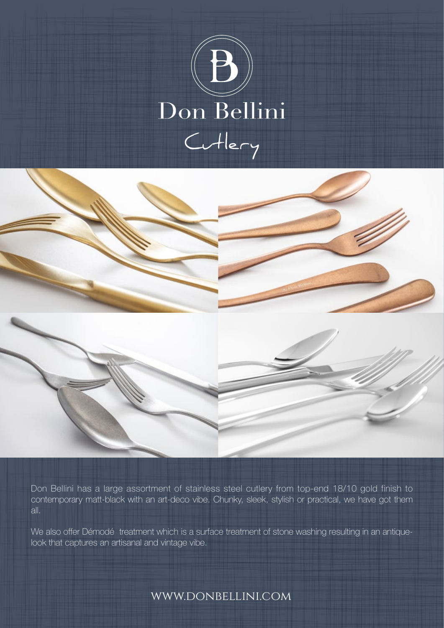





Don Bellini has a large assortment of stainless steel cutlery from top-end 18/10 gold finish to contemporary matt-black with an art-deco vibe. Chunky, sleek, stylish or practical, we have got them all.

We also offer Démodé treatment which is a surface treatment of stone washing resulting in an antiquelook that captures an artisanal and vintage vibe.

www.donbellini.com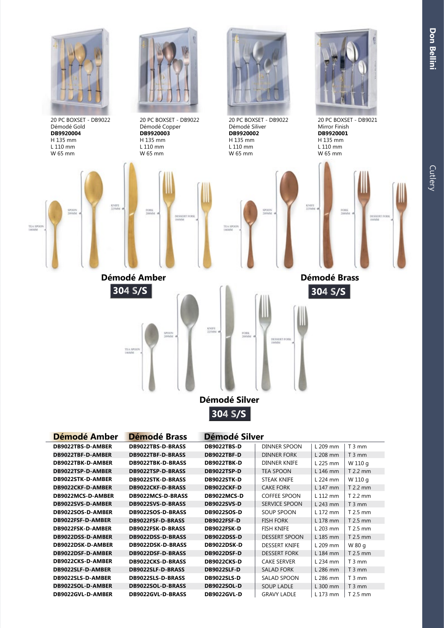**Don Bellini**



| Démodé Amber      | Démodé Brass      | Démodé Silver      |                      |            |           |
|-------------------|-------------------|--------------------|----------------------|------------|-----------|
| DB9022TBS-D-AMBER | DB9022TBS-D-BRASS | <b>DB9022TBS-D</b> | DINNER SPOON         | L 209 mm   | $T3$ mm   |
| DB9022TBF-D-AMBER | DB9022TBF-D-BRASS | <b>DB9022TBF-D</b> | <b>DINNER FORK</b>   | L 208 mm   | $T3$ mm   |
| DB9022TBK-D-AMBER | DB9022TBK-D-BRASS | <b>DB9022TBK-D</b> | <b>DINNER KNIFE</b>  | L 225 mm   | W 110 g   |
| DB9022TSP-D-AMBER | DB9022TSP-D-BRASS | <b>DB9022TSP-D</b> | <b>TEA SPOON</b>     | L 146 mm   | T 2.2 mm  |
| DB9022STK-D-AMBER | DB9022STK-D-BRASS | <b>DB9022STK-D</b> | <b>STEAK KNIFE</b>   | $L$ 224 mm | W 110 g   |
| DB9022CKF-D-AMBER | DB9022CKF-D-BRASS | <b>DB9022CKF-D</b> | <b>CAKE FORK</b>     | L 147 mm   | T 2.2 mm  |
| DB9022MCS-D-AMBER | DB9022MCS-D-BRASS | DB9022MCS-D        | <b>COFFEE SPOON</b>  | L 112 mm   | $T2.2$ mm |
| DB9022SVS-D-AMBER | DB9022SVS-D-BRASS | <b>DB9022SVS-D</b> | <b>SERVICE SPOON</b> | L 243 mm   | $T3$ mm   |
| DB9022SOS-D-AMBER | DB9022SOS-D-BRASS | <b>DB9022SOS-D</b> | SOUP SPOON           | L 172 mm   | $T2.5$ mm |
| DB9022FSF-D-AMBER | DB9022FSF-D-BRASS | <b>DB9022FSF-D</b> | <b>FISH FORK</b>     | L 178 mm   | T 2.5 mm  |
| DB9022FSK-D-AMBER | DB9022FSK-D-BRASS | <b>DB9022FSK-D</b> | <b>FISH KNIFE</b>    | L 203 mm   | $T2.5$ mm |
| DB9022DSS-D-AMBER | DB9022DSS-D-BRASS | <b>DB9022DSS-D</b> | <b>DESSERT SPOON</b> | L 185 mm   | T 2.5 mm  |
| DB9022DSK-D-AMBER | DB9022DSK-D-BRASS | <b>DB9022DSK-D</b> | <b>DESSERT KNIFE</b> | $L$ 209 mm | W 80 g    |
| DB9022DSF-D-AMBER | DB9022DSF-D-BRASS | <b>DB9022DSF-D</b> | <b>DESSERT FORK</b>  | L 184 mm   | T 2.5 mm  |
| DB9022CKS-D-AMBER | DB9022CKS-D-BRASS | DB9022CKS-D        | <b>CAKE SERVER</b>   | $L$ 234 mm | $T3$ mm   |
| DB9022SLF-D-AMBER | DB9022SLF-D-BRASS | <b>DB9022SLF-D</b> | <b>SALAD FORK</b>    | L 286 mm   | $T3$ mm   |
| DB9022SLS-D-AMBER | DB9022SLS-D-BRASS | <b>DB9022SLS-D</b> | SALAD SPOON          | L 286 mm   | $T3$ mm   |
| DB9022SOL-D-AMBER | DB9022SOL-D-BRASS | <b>DB9022SOL-D</b> | <b>SOUP LADLE</b>    | $L300$ mm  | $T3$ mm   |
| DB9022GVL-D-AMBER | DB9022GVL-D-BRASS | <b>DB9022GVL-D</b> | <b>GRAVY LADLE</b>   | L 173 mm   | T 2.5 mm  |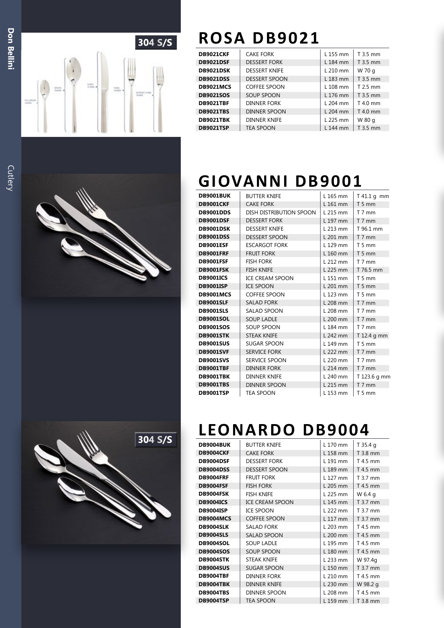

### **DB ROSA DB9021**

| <b>DB9021CKF</b> | <b>CAKE FORK</b>     | L 155 mm   | T 3.5 mm   |
|------------------|----------------------|------------|------------|
| <b>DB9021DSF</b> | <b>DESSERT FORK</b>  | L 184 mm   | T 3.5 mm   |
| <b>DB9021DSK</b> | <b>DESSERT KNIFE</b> | L 210 mm   | W 70 g     |
| <b>DB9021DSS</b> | <b>DESSERT SPOON</b> | L 183 mm   | T 3.5 mm   |
| <b>DB9021MCS</b> | <b>COFFEE SPOON</b>  | $L$ 108 mm | T 2.5 mm   |
| <b>DB9021SOS</b> | <b>SOUP SPOON</b>    | L 176 mm   | T 3.5 mm   |
| <b>DB9021TBF</b> | <b>DINNER FORK</b>   | $L$ 204 mm | $T$ 4.0 mm |
| <b>DB9021TBS</b> | DINNER SPOON         | L 204 mm   | T 4.0 mm   |
| <b>DB9021TBK</b> | <b>DINNER KNIFE</b>  | L 225 mm   | W 80 g     |
| <b>DB9021TSP</b> | <b>TEA SPOON</b>     | L 144 mm   | T 3.5 mm   |

### **GIOVANNI DB9001**

| <b>DB9001BUK</b> | <b>BUTTER KNIFE</b>     | L 165 mm   | T 41.1 g mm       |
|------------------|-------------------------|------------|-------------------|
| <b>DB9001CKF</b> | <b>CAKE FORK</b>        | L 161 mm   | $T5$ mm           |
| <b>DB9001DDS</b> | DISH DISTRIBUTION SPOON | L 215 mm   | $T$ 7 mm          |
| <b>DB9001DSF</b> | <b>DESSERT FORK</b>     | L 197 mm   | $T$ 7 mm          |
| <b>DB9001DSK</b> | <b>DESSERT KNIFE</b>    | $L$ 213 mm | T 96.1 mm         |
| <b>DB9001DSS</b> | <b>DESSERT SPOON</b>    | L 201 mm   | $T$ 7 mm          |
| <b>DB9001ESF</b> | <b>ESCARGOT FORK</b>    | L 129 mm   | $T5$ mm           |
| <b>DB9001FRF</b> | <b>FRUIT FORK</b>       | L 160 mm   | T <sub>5</sub> mm |
| <b>DB9001FSF</b> | <b>FISH FORK</b>        | $L$ 212 mm | $T$ 7 mm          |
| <b>DB9001FSK</b> | <b>FISH KNIFE</b>       | L 225 mm   | T 76.5 mm         |
| <b>DB9001ICS</b> | <b>ICE CREAM SPOON</b>  | L 151 mm   | $T5$ mm           |
| <b>DB9001ISP</b> | <b>ICE SPOON</b>        | L 201 mm   | $T5$ mm           |
| <b>DB9001MCS</b> | <b>COFFEE SPOON</b>     | L 123 mm   | $T5$ mm           |
| <b>DB9001SLF</b> | <b>SALAD FORK</b>       | L 208 mm   | $T$ 7 mm          |
| <b>DB9001SLS</b> | <b>SALAD SPOON</b>      | L 208 mm   | $T$ 7 mm          |
| <b>DB9001SOL</b> | <b>SOUP LADLE</b>       | L 200 mm   | $T$ 7 mm          |
| <b>DB9001SOS</b> | <b>SOUP SPOON</b>       | L 184 mm   | T 7 mm            |
| <b>DB9001STK</b> | <b>STEAK KNIFE</b>      | L 242 mm   | T 12.4 g mm       |
| <b>DB9001SUS</b> | <b>SUGAR SPOON</b>      | L 149 mm   | $T5$ mm           |
| <b>DB9001SVF</b> | <b>SERVICE FORK</b>     | L 222 mm   | $T$ 7 mm          |
| <b>DB9001SVS</b> | <b>SERVICE SPOON</b>    | L 220 mm   | $T$ 7 mm          |
| <b>DB9001TBF</b> | <b>DINNER FORK</b>      | L 214 mm   | $T$ 7 mm          |
| <b>DB9001TBK</b> | <b>DINNER KNIFE</b>     | L 240 mm   | T 123.6 g mm      |
| <b>DB9001TBS</b> | <b>DINNER SPOON</b>     | L 215 mm   | $T$ 7 mm          |
| <b>DB9001TSP</b> | <b>TEA SPOON</b>        | L 153 mm   | $T5$ mm           |





### **LEONARDO DB9004**

| DB9004BUK        | <b>BUTTER KNIFE</b>    | L 170 mm | T 35.4 g |
|------------------|------------------------|----------|----------|
| <b>DB9004CKF</b> | <b>CAKE FORK</b>       | L 158 mm | T 3.8 mm |
| DB9004DSF        | <b>DESSERT FORK</b>    | L 191 mm | T 4.5 mm |
| <b>DB9004DSS</b> | <b>DESSERT SPOON</b>   | L 189 mm | T 4.5 mm |
| <b>DB9004FRF</b> | <b>FRUIT FORK</b>      | L 127 mm | T 3.7 mm |
| <b>DB9004FSF</b> | <b>FISH FORK</b>       | L 205 mm | T 4.5 mm |
| DB9004FSK        | <b>FISH KNIFE</b>      | L 225 mm | W 6.4 g  |
| <b>DB9004ICS</b> | <b>ICE CREAM SPOON</b> | L 145 mm | T 3.7 mm |
| <b>DB9004ISP</b> | <b>ICE SPOON</b>       | L 222 mm | T 3.7 mm |
| DB9004MCS        | <b>COFFEE SPOON</b>    | L 117 mm | T 3.7 mm |
| <b>DB9004SLK</b> | <b>SALAD FORK</b>      | L 203 mm | T 4.5 mm |
| <b>DB9004SLS</b> | <b>SALAD SPOON</b>     | L 200 mm | T 4.5 mm |
| <b>DB9004SOL</b> | <b>SOUP LADLE</b>      | L 195 mm | T 4.5 mm |
| <b>DB9004SOS</b> | <b>SOUP SPOON</b>      | L 180 mm | T 4.5 mm |
| DB9004STK        | <b>STEAK KNIFE</b>     | L 233 mm | W 97.4g  |
| <b>DB9004SUS</b> | <b>SUGAR SPOON</b>     | L 150 mm | T 3.7 mm |
| <b>DB9004TBF</b> | <b>DINNER FORK</b>     | L 210 mm | T 4.5 mm |
| <b>DB9004TBK</b> | <b>DINNER KNIFE</b>    | L 230 mm | W 98.2 g |
| <b>DB9004TBS</b> | DINNER SPOON           | L 208 mm | T 4.5 mm |
| <b>DB9004TSP</b> | <b>TEA SPOON</b>       | L 159 mm | T 3.8 mm |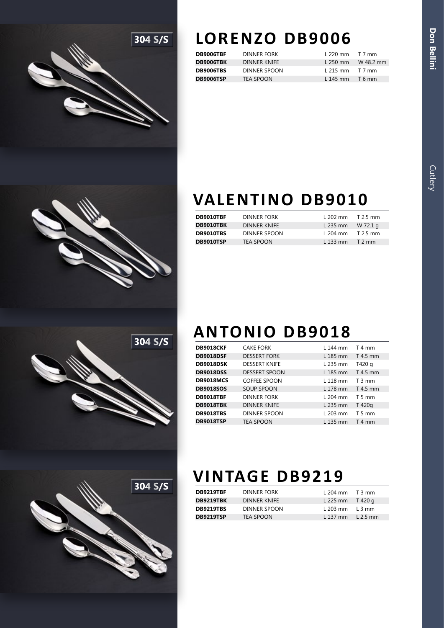

## **LORENZO DB9006**

| <b>DB9006TBF</b> | <b>DINNER FORK</b>  | L 220 mm   | T 7 mm    |
|------------------|---------------------|------------|-----------|
| DB9006TBK        | <b>DINNER KNIFE</b> | $L$ 250 mm | W 48.2 mm |
| <b>DB9006TBS</b> | DINNER SPOON        | L 215 mm   | T 7 mm    |
| <b>DB9006TSP</b> | <b>TEA SPOON</b>    | L 145 mm   | T 6 mm    |

|  |  |  |  | <b>VALENTINO DB9010</b> |  |  |  |
|--|--|--|--|-------------------------|--|--|--|
|  |  |  |  |                         |  |  |  |

| DB9010TBF        | DINNER FORK      | L 202 mm   | $T2.5$ mm        |
|------------------|------------------|------------|------------------|
| DB9010TBK        | DINNER KNIFE     | L 235 mm   | W 72.1 a         |
| <b>DB9010TBS</b> | DINNER SPOON     | L 204 mm   | $\vert$ T 2.5 mm |
| <b>DB9010TSP</b> | <b>TEA SPOON</b> | $L$ 133 mm | $\vert$ T 2 mm   |



# **304 S/S**

### **ANTONIO DB9018**

| <b>DB9018CKF</b> | <b>CAKE FORK</b>     | L 144 mm   | $T4$ mm  |
|------------------|----------------------|------------|----------|
| <b>DB9018DSF</b> | <b>DESSERT FORK</b>  | L 185 mm   | T 4.5 mm |
| <b>DB9018DSK</b> | <b>DESSERT KNIFE</b> | L 235 mm   | T420 g   |
| <b>DB9018DSS</b> | <b>DESSERT SPOON</b> | L 185 mm   | T 4.5 mm |
| <b>DB9018MCS</b> | <b>COFFEE SPOON</b>  | L 118 mm   | $T3$ mm  |
| <b>DB9018SOS</b> | <b>SOUP SPOON</b>    | L 178 mm   | T 4.5 mm |
| <b>DB9018TBF</b> | <b>DINNER FORK</b>   | $L$ 204 mm | $T5$ mm  |
| <b>DB9018TBK</b> | <b>DINNER KNIFE</b>  | L 235 mm   | T 420g   |
| <b>DB9018TBS</b> | <b>DINNER SPOON</b>  | $L$ 203 mm | $T5$ mm  |
| <b>DB9018TSP</b> | <b>TEA SPOON</b>     | L 135 mm   | $T4$ mm  |

# **VINTAGE DB9219**

| <b>DB9219TBF</b> | DINNER FORK         | . L 204 mm | $\perp$ T 3 mm   |
|------------------|---------------------|------------|------------------|
| <b>DB9219TBK</b> | <b>DINNER KNIFE</b> | L 225 mm   | T 420 a          |
| <b>DB9219TBS</b> | DINNER SPOON        | L 203 mm   | $\lfloor$ L 3 mm |
| <b>DB9219TSP</b> | TEA SPOON           | L 137 mm   | $\perp$ L 2.5 mm |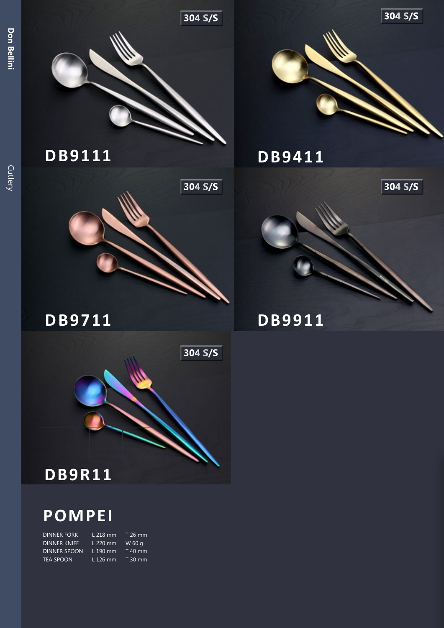Cutlery



**304 S/S**

**304 S/S**

### **POMPEI**

| <b>DINNER FORK</b>  | $L$ 218 mm | T 26 mm   |
|---------------------|------------|-----------|
| <b>DINNER KNIFE</b> | L 220 mm   | W 60 g    |
| DINNER SPOON        | $L$ 190 mm | $T$ 40 mm |
| TEA SPOON.          | $L$ 126 mm | $T30$ mm  |